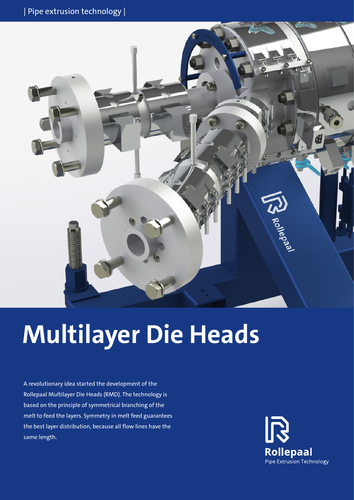

# **Multilayer Die Heads**

A revolutionary idea started the development of the Rollepaal Multilayer Die Heads (RMD). The technology is based on the principle of symmetrical branching of the melt to feed the layers. Symmetry in melt feed guarantees the best layer distribution, because all flow lines have the same length.